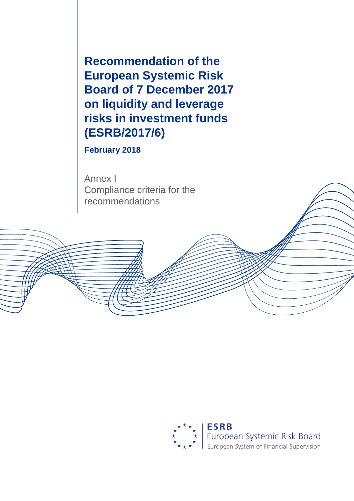**Recommendation of the European Systemic Risk Board of 7 December 2017 on liquidity and leverage risks in investment funds (ESRB/2017/6)**

**February 2018**

Annex I Compliance criteria for the recommendations



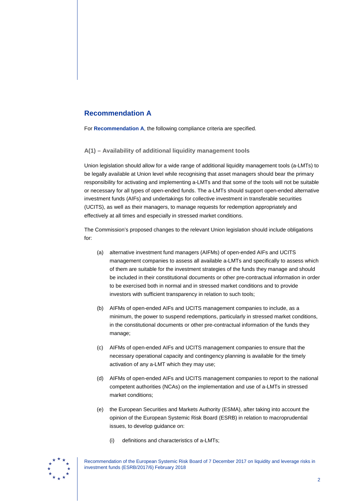# **Recommendation A**

For **Recommendation A**, the following compliance criteria are specified.

**A(1) – Availability of additional liquidity management tools**

Union legislation should allow for a wide range of additional liquidity management tools (a-LMTs) to be legally available at Union level while recognising that asset managers should bear the primary responsibility for activating and implementing a-LMTs and that some of the tools will not be suitable or necessary for all types of open-ended funds. The a-LMTs should support open-ended alternative investment funds (AIFs) and undertakings for collective investment in transferable securities (UCITS), as well as their managers, to manage requests for redemption appropriately and effectively at all times and especially in stressed market conditions.

The Commission's proposed changes to the relevant Union legislation should include obligations for:

- (a) alternative investment fund managers (AIFMs) of open-ended AIFs and UCITS management companies to assess all available a-LMTs and specifically to assess which of them are suitable for the investment strategies of the funds they manage and should be included in their constitutional documents or other pre-contractual information in order to be exercised both in normal and in stressed market conditions and to provide investors with sufficient transparency in relation to such tools;
- (b) AIFMs of open-ended AIFs and UCITS management companies to include, as a minimum, the power to suspend redemptions, particularly in stressed market conditions, in the constitutional documents or other pre-contractual information of the funds they manage;
- (c) AIFMs of open-ended AIFs and UCITS management companies to ensure that the necessary operational capacity and contingency planning is available for the timely activation of any a-LMT which they may use;
- (d) AIFMs of open-ended AIFs and UCITS management companies to report to the national competent authorities (NCAs) on the implementation and use of a-LMTs in stressed market conditions;
- (e) the European Securities and Markets Authority (ESMA), after taking into account the opinion of the European Systemic Risk Board (ESRB) in relation to macroprudential issues, to develop guidance on:
	- (i) definitions and characteristics of a-LMTs;

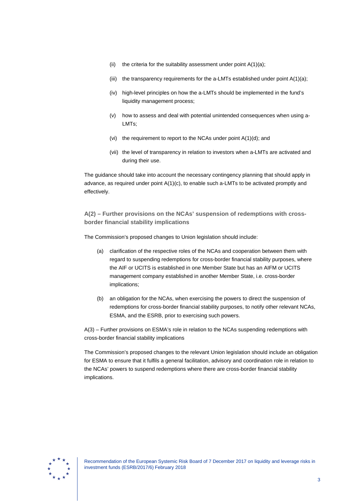- (ii) the criteria for the suitability assessment under point  $A(1)(a)$ ;
- (iii) the transparency requirements for the a-LMTs established under point A(1)(a);
- (iv) high-level principles on how the a-LMTs should be implemented in the fund's liquidity management process;
- (v) how to assess and deal with potential unintended consequences when using a-LMTs;
- (vi) the requirement to report to the NCAs under point A(1)(d); and
- (vii) the level of transparency in relation to investors when a-LMTs are activated and during their use.

The guidance should take into account the necessary contingency planning that should apply in advance, as required under point  $A(1)(c)$ , to enable such a-LMTs to be activated promptly and effectively.

**A(2) – Further provisions on the NCAs' suspension of redemptions with crossborder financial stability implications**

The Commission's proposed changes to Union legislation should include:

- (a) clarification of the respective roles of the NCAs and cooperation between them with regard to suspending redemptions for cross-border financial stability purposes, where the AIF or UCITS is established in one Member State but has an AIFM or UCITS management company established in another Member State, i.e. cross-border implications;
- (b) an obligation for the NCAs, when exercising the powers to direct the suspension of redemptions for cross-border financial stability purposes, to notify other relevant NCAs, ESMA, and the ESRB, prior to exercising such powers.

A(3) – Further provisions on ESMA's role in relation to the NCAs suspending redemptions with cross-border financial stability implications

The Commission's proposed changes to the relevant Union legislation should include an obligation for ESMA to ensure that it fulfils a general facilitation, advisory and coordination role in relation to the NCAs' powers to suspend redemptions where there are cross-border financial stability implications.

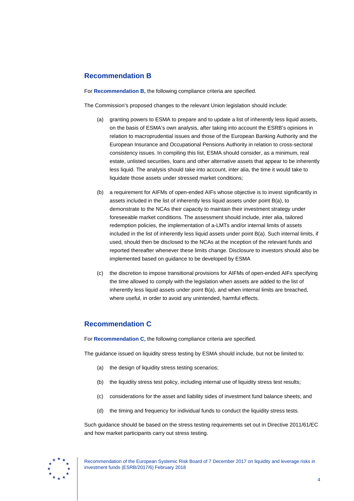## **Recommendation B**

For **Recommendation B,** the following compliance criteria are specified.

The Commission's proposed changes to the relevant Union legislation should include:

- (a) granting powers to ESMA to prepare and to update a list of inherently less liquid assets, on the basis of ESMA's own analysis, after taking into account the ESRB's opinions in relation to macroprudential issues and those of the European Banking Authority and the European Insurance and Occupational Pensions Authority in relation to cross-sectoral consistency issues. In compiling this list, ESMA should consider, as a minimum, real estate, unlisted securities, loans and other alternative assets that appear to be inherently less liquid. The analysis should take into account, inter alia, the time it would take to liquidate those assets under stressed market conditions;
- (b) a requirement for AIFMs of open-ended AIFs whose objective is to invest significantly in assets included in the list of inherently less liquid assets under point B(a), to demonstrate to the NCAs their capacity to maintain their investment strategy under foreseeable market conditions. The assessment should include, inter alia, tailored redemption policies, the implementation of a-LMTs and/or internal limits of assets included in the list of inherently less liquid assets under point B(a). Such internal limits, if used, should then be disclosed to the NCAs at the inception of the relevant funds and reported thereafter whenever these limits change. Disclosure to investors should also be implemented based on guidance to be developed by ESMA
- (c) the discretion to impose transitional provisions for AIFMs of open-ended AIFs specifying the time allowed to comply with the legislation when assets are added to the list of inherently less liquid assets under point B(a), and when internal limits are breached, where useful, in order to avoid any unintended, harmful effects.

## **Recommendation C**

For **Recommendation C,** the following compliance criteria are specified.

The guidance issued on liquidity stress testing by ESMA should include, but not be limited to:

- (a) the design of liquidity stress testing scenarios;
- (b) the liquidity stress test policy, including internal use of liquidity stress test results;
- (c) considerations for the asset and liability sides of investment fund balance sheets; and
- (d) the timing and frequency for individual funds to conduct the liquidity stress tests.

Such guidance should be based on the stress testing requirements set out in Directive 2011/61/EC and how market participants carry out stress testing.

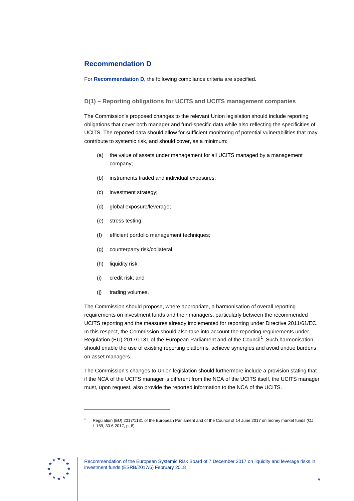# **Recommendation D**

For **Recommendation D,** the following compliance criteria are specified.

## **D(1) – Reporting obligations for UCITS and UCITS management companies**

The Commission's proposed changes to the relevant Union legislation should include reporting obligations that cover both manager and fund-specific data while also reflecting the specificities of UCITS. The reported data should allow for sufficient monitoring of potential vulnerabilities that may contribute to systemic risk, and should cover, as a minimum:

- (a) the value of assets under management for all UCITS managed by a management company;
- (b) instruments traded and individual exposures;
- (c) investment strategy;
- (d) global exposure/leverage;
- (e) stress testing;
- (f) efficient portfolio management techniques;
- (g) counterparty risk/collateral;
- (h) liquidity risk;
- (i) credit risk; and
- (j) trading volumes.

The Commission should propose, where appropriate, a harmonisation of overall reporting requirements on investment funds and their managers, particularly between the recommended UCITS reporting and the measures already implemented for reporting under Directive 2011/61/EC. In this respect, the Commission should also take into account the reporting requirements under Regulation (EU) 20[1](#page-4-0)7/1131 of the European Parliament and of the Council<sup>1</sup>. Such harmonisation should enable the use of existing reporting platforms, achieve synergies and avoid undue burdens on asset managers.

The Commission's changes to Union legislation should furthermore include a provision stating that if the NCA of the UCITS manager is different from the NCA of the UCITS itself, the UCITS manager must, upon request, also provide the reported information to the NCA of the UCITS.

<span id="page-4-0"></span>

-

<sup>1</sup> Regulation (EU) 2017/1131 of the European Parliament and of the Council of 14 June 2017 on money market funds (OJ L 169, 30.6.2017, p. 8).

Recommendation of the European Systemic Risk Board of 7 December 2017 on liquidity and leverage risks in investment funds (ESRB/2017/6) February 2018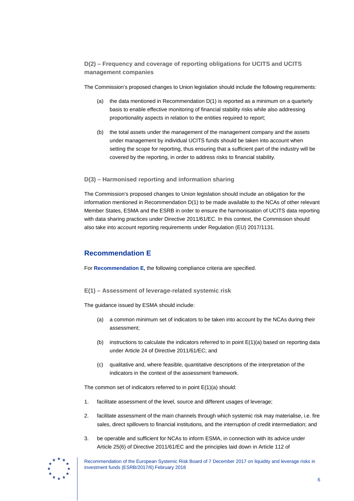## **D(2) – Frequency and coverage of reporting obligations for UCITS and UCITS management companies**

The Commission's proposed changes to Union legislation should include the following requirements:

- (a) the data mentioned in Recommendation  $D(1)$  is reported as a minimum on a quarterly basis to enable effective monitoring of financial stability risks while also addressing proportionality aspects in relation to the entities required to report;
- (b) the total assets under the management of the management company and the assets under management by individual UCITS funds should be taken into account when setting the scope for reporting, thus ensuring that a sufficient part of the industry will be covered by the reporting, in order to address risks to financial stability.

## **D(3) – Harmonised reporting and information sharing**

The Commission's proposed changes to Union legislation should include an obligation for the information mentioned in Recommendation D(1) to be made available to the NCAs of other relevant Member States, ESMA and the ESRB in order to ensure the harmonisation of UCITS data reporting with data sharing practices under Directive 2011/61/EC. In this context, the Commission should also take into account reporting requirements under Regulation (EU) 2017/1131.

## **Recommendation E**

For **Recommendation E,** the following compliance criteria are specified.

**E(1) – Assessment of leverage-related systemic risk**

The guidance issued by ESMA should include:

- (a) a common minimum set of indicators to be taken into account by the NCAs during their assessment;
- (b) instructions to calculate the indicators referred to in point  $E(1)(a)$  based on reporting data under Article 24 of Directive 2011/61/EC; and
- (c) qualitative and, where feasible, quantitative descriptions of the interpretation of the indicators in the context of the assessment framework.

The common set of indicators referred to in point E(1)(a) should:

- 1. facilitate assessment of the level, source and different usages of leverage;
- 2. facilitate assessment of the main channels through which systemic risk may materialise, i.e. fire sales, direct spillovers to financial institutions, and the interruption of credit intermediation; and
- 3. be operable and sufficient for NCAs to inform ESMA, in connection with its advice under Article 25(6) of Directive 2011/61/EC and the principles laid down in Article 112 of

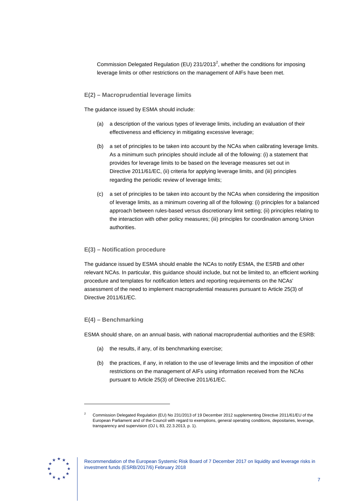Commission Delegated Regulation (EU) [2](#page-6-0)31/2013<sup>2</sup>, whether the conditions for imposing leverage limits or other restrictions on the management of AIFs have been met.

### **E(2) – Macroprudential leverage limits**

The guidance issued by ESMA should include:

- (a) a description of the various types of leverage limits, including an evaluation of their effectiveness and efficiency in mitigating excessive leverage;
- (b) a set of principles to be taken into account by the NCAs when calibrating leverage limits. As a minimum such principles should include all of the following: (i) a statement that provides for leverage limits to be based on the leverage measures set out in Directive 2011/61/EC, (ii) criteria for applying leverage limits, and (iii) principles regarding the periodic review of leverage limits;
- (c) a set of principles to be taken into account by the NCAs when considering the imposition of leverage limits, as a minimum covering all of the following: (i) principles for a balanced approach between rules-based versus discretionary limit setting; (ii) principles relating to the interaction with other policy measures; (iii) principles for coordination among Union authorities.

### **E(3) – Notification procedure**

The guidance issued by ESMA should enable the NCAs to notify ESMA, the ESRB and other relevant NCAs. In particular, this guidance should include, but not be limited to, an efficient working procedure and templates for notification letters and reporting requirements on the NCAs' assessment of the need to implement macroprudential measures pursuant to Article 25(3) of Directive 2011/61/EC.

#### **E(4) – Benchmarking**

ESMA should share, on an annual basis, with national macroprudential authorities and the ESRB:

- (a) the results, if any, of its benchmarking exercise;
- (b) the practices, if any, in relation to the use of leverage limits and the imposition of other restrictions on the management of AIFs using information received from the NCAs pursuant to Article 25(3) of Directive 2011/61/EC.

<span id="page-6-0"></span>

-

<sup>2</sup> Commission Delegated Regulation (EU) No 231/2013 of 19 December 2012 supplementing Directive 2011/61/EU of the European Parliament and of the Council with regard to exemptions, general operating conditions, depositaries, leverage, transparency and supervision (OJ L 83, 22.3.2013, p. 1).

Recommendation of the European Systemic Risk Board of 7 December 2017 on liquidity and leverage risks in investment funds (ESRB/2017/6) February 2018